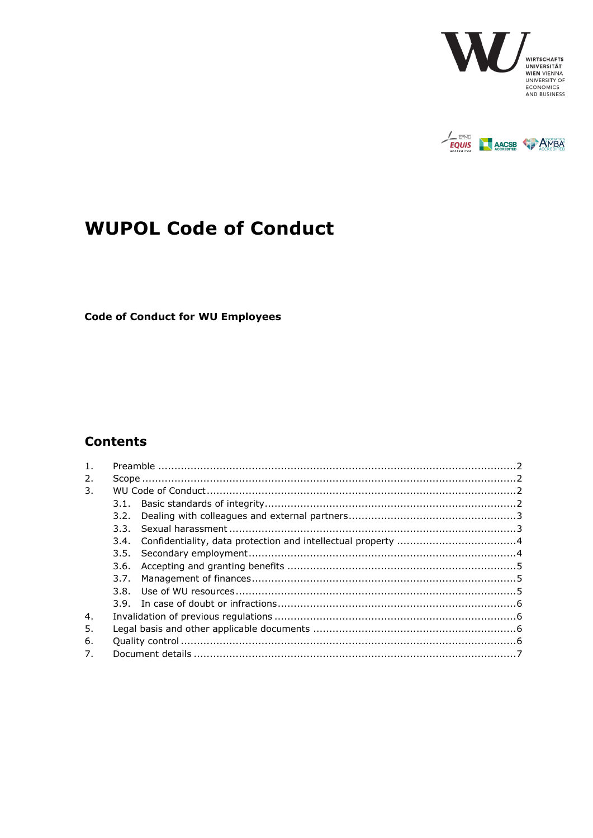



# <span id="page-0-0"></span>**WUPOL Code of Conduct**

<span id="page-0-1"></span>**Code of Conduct for WU Employees** 

# **Contents**

|  |  | 3.2. |  |
|--|--|------|--|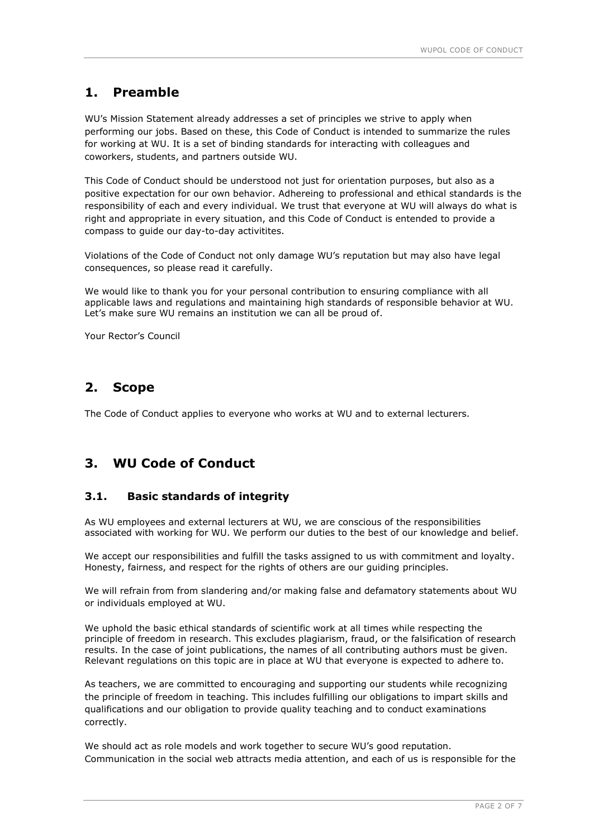## <span id="page-1-0"></span>**1. Preamble**

WU's Mission Statement already addresses a set of principles we strive to apply when performing our jobs. Based on these, this Code of Conduct is intended to summarize the rules for working at WU. It is a set of binding standards for interacting with colleagues and coworkers, students, and partners outside WU.

This Code of Conduct should be understood not just for orientation purposes, but also as a positive expectation for our own behavior. Adhereing to professional and ethical standards is the responsibility of each and every individual. We trust that everyone at WU will always do what is right and appropriate in every situation, and this Code of Conduct is entended to provide a compass to guide our day-to-day activitites.

Violations of the Code of Conduct not only damage WU's reputation but may also have legal consequences, so please read it carefully.

We would like to thank you for your personal contribution to ensuring compliance with all applicable laws and regulations and maintaining high standards of responsible behavior at WU. Let's make sure WU remains an institution we can all be proud of.

Your Rector's Council

## <span id="page-1-1"></span>**2. Scope**

The Code of Conduct applies to everyone who works at WU and to external lecturers.

## <span id="page-1-2"></span>**3. WU Code of Conduct**

#### <span id="page-1-3"></span>**3.1. Basic standards of integrity**

As WU employees and external lecturers at WU, we are conscious of the responsibilities associated with working for WU. We perform our duties to the best of our knowledge and belief.

We accept our responsibilities and fulfill the tasks assigned to us with commitment and loyalty. Honesty, fairness, and respect for the rights of others are our guiding principles.

We will refrain from from slandering and/or making false and defamatory statements about WU or individuals employed at WU.

We uphold the basic ethical standards of scientific work at all times while respecting the principle of freedom in research. This excludes plagiarism, fraud, or the falsification of research results. In the case of joint publications, the names of all contributing authors must be given. Relevant regulations on this topic are in place at WU that everyone is expected to adhere to.

As teachers, we are committed to encouraging and supporting our students while recognizing the principle of freedom in teaching. This includes fulfilling our obligations to impart skills and qualifications and our obligation to provide quality teaching and to conduct examinations correctly.

We should act as role models and work together to secure WU's good reputation. Communication in the social web attracts media attention, and each of us is responsible for the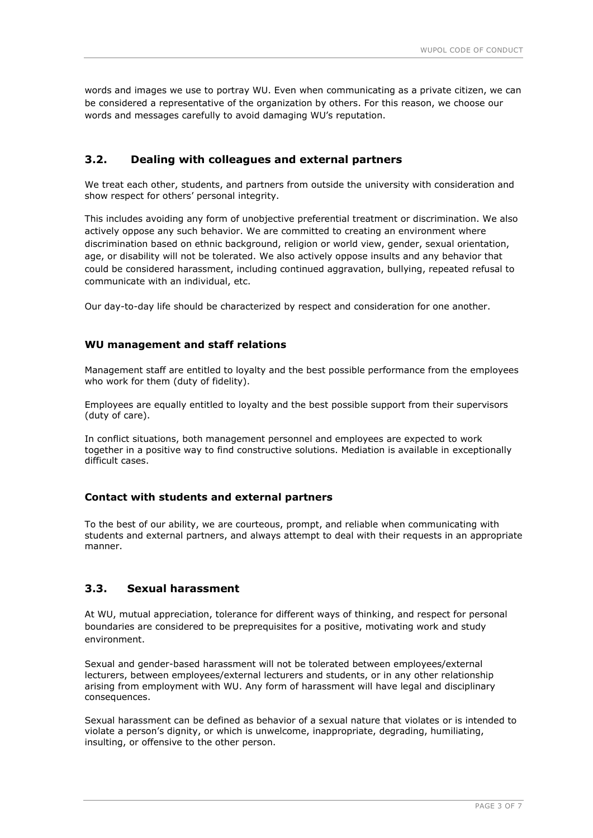words and images we use to portray WU. Even when communicating as a private citizen, we can be considered a representative of the organization by others. For this reason, we choose our words and messages carefully to avoid damaging WU's reputation.

#### <span id="page-2-0"></span>**3.2. Dealing with colleagues and external partners**

We treat each other, students, and partners from outside the university with consideration and show respect for others' personal integrity.

This includes avoiding any form of unobjective preferential treatment or discrimination. We also actively oppose any such behavior. We are committed to creating an environment where discrimination based on ethnic background, religion or world view, gender, sexual orientation, age, or disability will not be tolerated. We also actively oppose insults and any behavior that could be considered harassment, including continued aggravation, bullying, repeated refusal to communicate with an individual, etc.

Our day-to-day life should be characterized by respect and consideration for one another.

#### **WU management and staff relations**

Management staff are entitled to loyalty and the best possible performance from the employees who work for them (duty of fidelity).

Employees are equally entitled to loyalty and the best possible support from their supervisors (duty of care).

In conflict situations, both management personnel and employees are expected to work together in a positive way to find constructive solutions. Mediation is available in exceptionally difficult cases.

#### **Contact with students and external partners**

To the best of our ability, we are courteous, prompt, and reliable when communicating with students and external partners, and always attempt to deal with their requests in an appropriate manner.

#### <span id="page-2-1"></span>**3.3. Sexual harassment**

At WU, mutual appreciation, tolerance for different ways of thinking, and respect for personal boundaries are considered to be preprequisites for a positive, motivating work and study environment.

Sexual and gender-based harassment will not be tolerated between employees/external lecturers, between employees/external lecturers and students, or in any other relationship arising from employment with WU. Any form of harassment will have legal and disciplinary consequences.

Sexual harassment can be defined as behavior of a sexual nature that violates or is intended to violate a person's dignity, or which is unwelcome, inappropriate, degrading, humiliating, insulting, or offensive to the other person.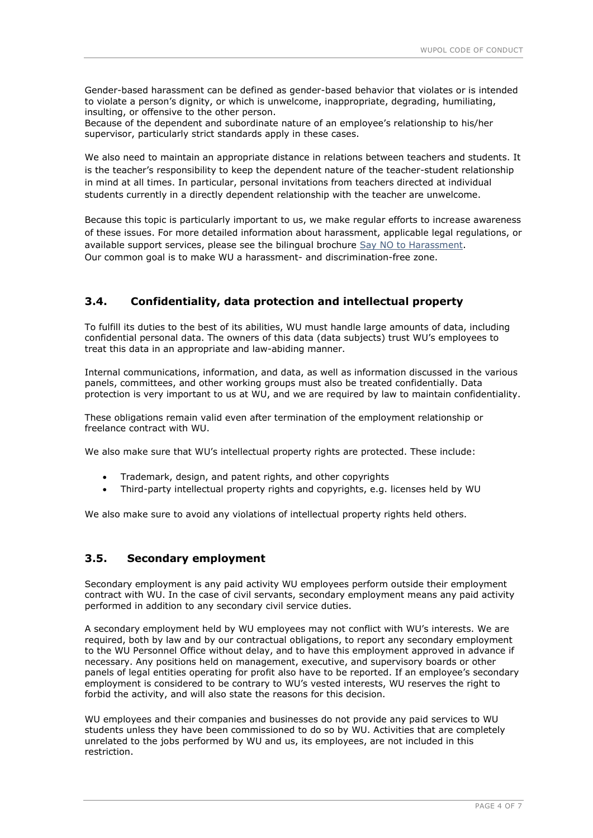Gender-based harassment can be defined as gender-based behavior that violates or is intended to violate a person's dignity, or which is unwelcome, inappropriate, degrading, humiliating, insulting, or offensive to the other person.

Because of the dependent and subordinate nature of an employee's relationship to his/her supervisor, particularly strict standards apply in these cases.

We also need to maintain an appropriate distance in relations between teachers and students. It is the teacher's responsibility to keep the dependent nature of the teacher-student relationship in mind at all times. In particular, personal invitations from teachers directed at individual students currently in a directly dependent relationship with the teacher are unwelcome.

Because this topic is particularly important to us, we make regular efforts to increase awareness of these issues. For more detailed information about harassment, applicable legal regulations, or available support services, please see the bilingual brochure [Say NO to Harassment.](https://www.wu.ac.at/fileadmin/wu/h/structure/about/publications/aktuelle_Brosch%C3%BCren/NeinZuBelaestigung2018.pdf) Our common goal is to make WU a harassment- and discrimination-free zone.

### <span id="page-3-0"></span>**3.4. Confidentiality, data protection and intellectual property**

To fulfill its duties to the best of its abilities, WU must handle large amounts of data, including confidential personal data. The owners of this data (data subjects) trust WU's employees to treat this data in an appropriate and law-abiding manner.

Internal communications, information, and data, as well as information discussed in the various panels, committees, and other working groups must also be treated confidentially. Data protection is very important to us at WU, and we are required by law to maintain confidentiality.

These obligations remain valid even after termination of the employment relationship or freelance contract with WU.

We also make sure that WU's intellectual property rights are protected. These include:

- Trademark, design, and patent rights, and other copyrights
- Third-party intellectual property rights and copyrights, e.g. licenses held by WU

We also make sure to avoid any violations of intellectual property rights held others.

#### <span id="page-3-1"></span>**3.5. Secondary employment**

Secondary employment is any paid activity WU employees perform outside their employment contract with WU. In the case of civil servants, secondary employment means any paid activity performed in addition to any secondary civil service duties.

A secondary employment held by WU employees may not conflict with WU's interests. We are required, both by law and by our contractual obligations, to report any secondary employment to the WU Personnel Office without delay, and to have this employment approved in advance if necessary. Any positions held on management, executive, and supervisory boards or other panels of legal entities operating for profit also have to be reported. If an employee's secondary employment is considered to be contrary to WU's vested interests, WU reserves the right to forbid the activity, and will also state the reasons for this decision.

WU employees and their companies and businesses do not provide any paid services to WU students unless they have been commissioned to do so by WU. Activities that are completely unrelated to the jobs performed by WU and us, its employees, are not included in this restriction.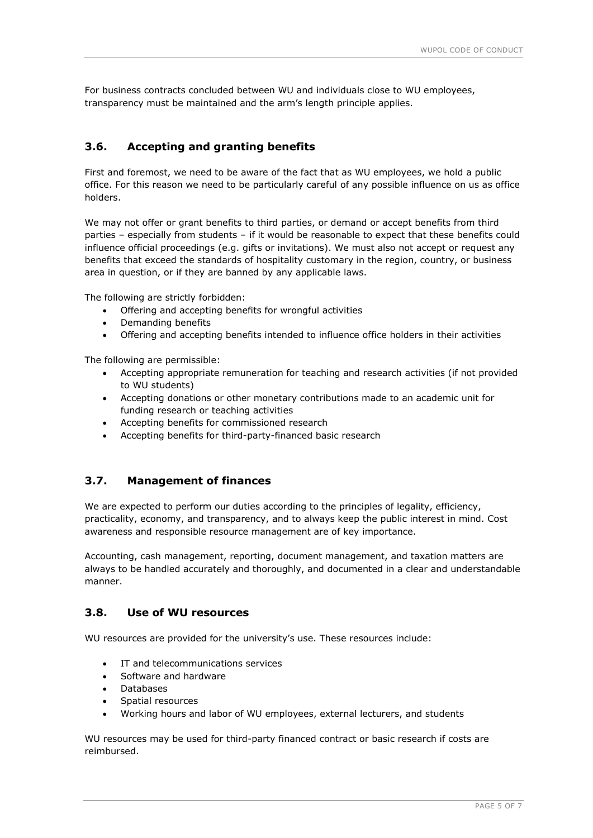For business contracts concluded between WU and individuals close to WU employees, transparency must be maintained and the arm's length principle applies.

### <span id="page-4-0"></span>**3.6. Accepting and granting benefits**

First and foremost, we need to be aware of the fact that as WU employees, we hold a public office. For this reason we need to be particularly careful of any possible influence on us as office holders.

We may not offer or grant benefits to third parties, or demand or accept benefits from third parties – especially from students – if it would be reasonable to expect that these benefits could influence official proceedings (e.g. gifts or invitations). We must also not accept or request any benefits that exceed the standards of hospitality customary in the region, country, or business area in question, or if they are banned by any applicable laws.

The following are strictly forbidden:

- Offering and accepting benefits for wrongful activities
- Demanding benefits
- Offering and accepting benefits intended to influence office holders in their activities

The following are permissible:

- Accepting appropriate remuneration for teaching and research activities (if not provided to WU students)
- Accepting donations or other monetary contributions made to an academic unit for funding research or teaching activities
- Accepting benefits for commissioned research
- Accepting benefits for third-party-financed basic research

### <span id="page-4-1"></span>**3.7. Management of finances**

We are expected to perform our duties according to the principles of legality, efficiency, practicality, economy, and transparency, and to always keep the public interest in mind. Cost awareness and responsible resource management are of key importance.

Accounting, cash management, reporting, document management, and taxation matters are always to be handled accurately and thoroughly, and documented in a clear and understandable manner.

#### <span id="page-4-2"></span>**3.8. Use of WU resources**

WU resources are provided for the university's use. These resources include:

- IT and telecommunications services
- Software and hardware
- Databases
- Spatial resources
- Working hours and labor of WU employees, external lecturers, and students

WU resources may be used for third-party financed contract or basic research if costs are reimbursed.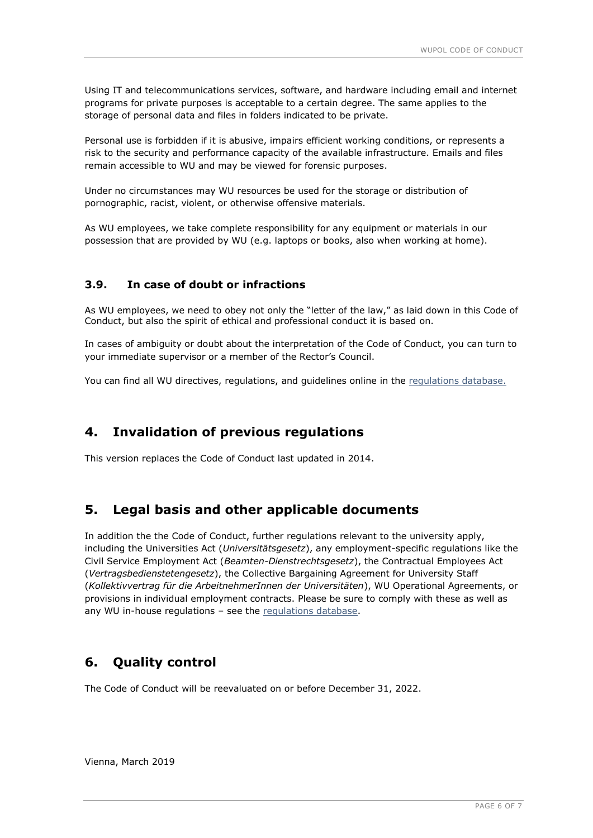Using IT and telecommunications services, software, and hardware including email and internet programs for private purposes is acceptable to a certain degree. The same applies to the storage of personal data and files in folders indicated to be private.

Personal use is forbidden if it is abusive, impairs efficient working conditions, or represents a risk to the security and performance capacity of the available infrastructure. Emails and files remain accessible to WU and may be viewed for forensic purposes.

Under no circumstances may WU resources be used for the storage or distribution of pornographic, racist, violent, or otherwise offensive materials.

As WU employees, we take complete responsibility for any equipment or materials in our possession that are provided by WU (e.g. laptops or books, also when working at home).

#### <span id="page-5-0"></span>**3.9. In case of doubt or infractions**

As WU employees, we need to obey not only the "letter of the law," as laid down in this Code of Conduct, but also the spirit of ethical and professional conduct it is based on.

In cases of ambiguity or doubt about the interpretation of the Code of Conduct, you can turn to your immediate supervisor or a member of the Rector's Council.

You can find all WU directives, [regulations](https://swa.wu.ac.at/richtl/Sitepages/Directives.aspx), and guidelines online in the regulations database.

## <span id="page-5-1"></span>**4. Invalidation of previous regulations**

This version replaces the Code of Conduct last updated in 2014.

## <span id="page-5-2"></span>**5. Legal basis and other applicable documents**

In addition the the Code of Conduct, further regulations relevant to the university apply, including the Universities Act (*Universitätsgesetz*), any employment-specific regulations like the Civil Service Employment Act (*Beamten-Dienstrechtsgesetz*), the Contractual Employees Act (*Vertragsbedienstetengesetz*), the Collective Bargaining Agreement for University Staff (*Kollektivvertrag für die ArbeitnehmerInnen der Universitäten*), WU Operational Agreements, or provisions in individual employment contracts. Please be sure to comply with these as well as any WU in-house regulations – see the [regulations](https://swa.wu.ac.at/richtl/Sitepages/Directives.aspx) database.

## <span id="page-5-3"></span>**6. Quality control**

The Code of Conduct will be reevaluated on or before December 31, 2022.